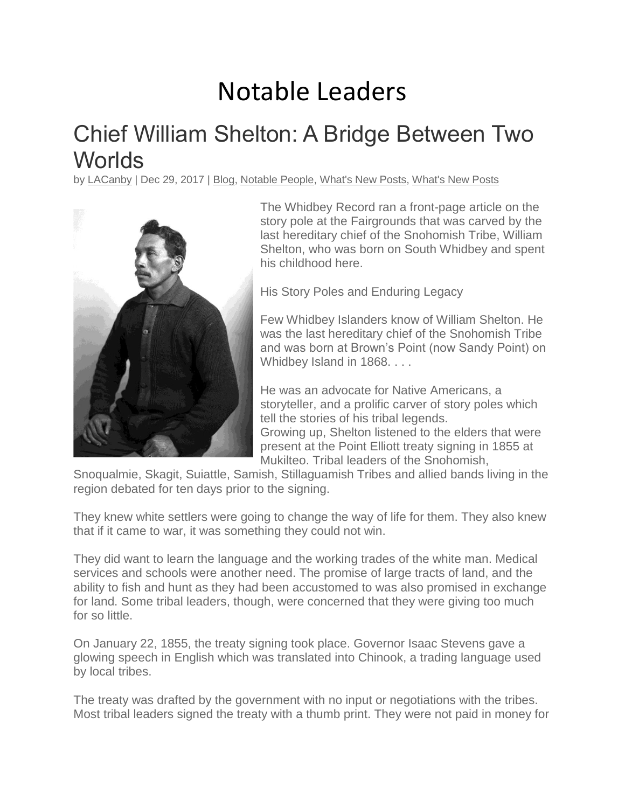## Notable Leaders

## Chief William Shelton: A Bridge Between Two **Worlds**

by [LACanby](https://southwhidbeyhistory.org/author/lacanby/) | Dec 29, 2017 | [Blog,](https://southwhidbeyhistory.org/category/blog/) [Notable](https://southwhidbeyhistory.org/category/notable-people/) People, [What's](https://southwhidbeyhistory.org/category/whats-new-posts-2/) New Posts, What's New Posts



The Whidbey Record ran a front-page article on the story pole at the Fairgrounds that was carved by the last hereditary chief of the Snohomish Tribe, William Shelton, who was born on South Whidbey and spent his childhood here.

His Story Poles and Enduring Legacy

Few Whidbey Islanders know of William Shelton. He was the last hereditary chief of the Snohomish Tribe and was born at Brown's Point (now Sandy Point) on Whidbey Island in 1868. . . .

He was an advocate for Native Americans, a storyteller, and a prolific carver of story poles which tell the stories of his tribal legends. Growing up, Shelton listened to the elders that were present at the Point Elliott treaty signing in 1855 at Mukilteo. Tribal leaders of the Snohomish,

Snoqualmie, Skagit, Suiattle, Samish, Stillaguamish Tribes and allied bands living in the region debated for ten days prior to the signing.

They knew white settlers were going to change the way of life for them. They also knew that if it came to war, it was something they could not win.

They did want to learn the language and the working trades of the white man. Medical services and schools were another need. The promise of large tracts of land, and the ability to fish and hunt as they had been accustomed to was also promised in exchange for land. Some tribal leaders, though, were concerned that they were giving too much for so little.

On January 22, 1855, the treaty signing took place. Governor Isaac Stevens gave a glowing speech in English which was translated into Chinook, a trading language used by local tribes.

The treaty was drafted by the government with no input or negotiations with the tribes. Most tribal leaders signed the treaty with a thumb print. They were not paid in money for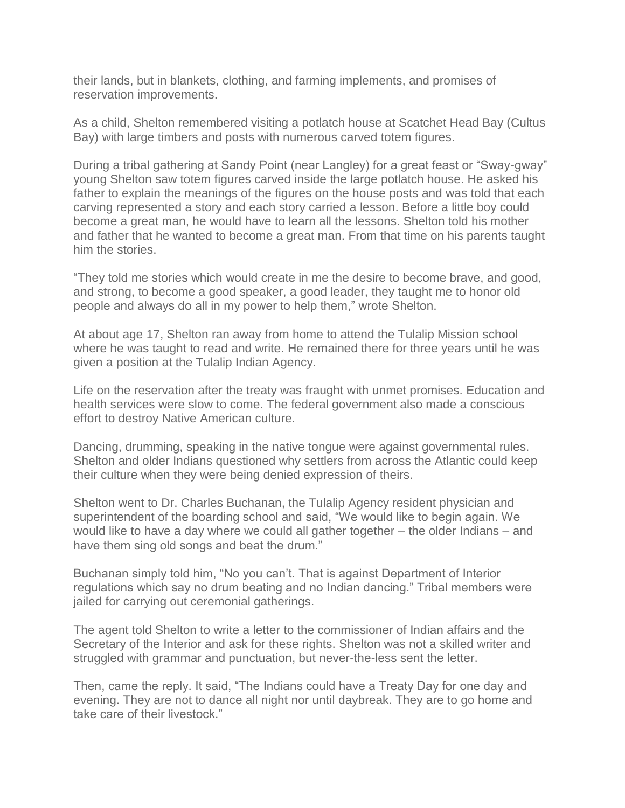their lands, but in blankets, clothing, and farming implements, and promises of reservation improvements.

As a child, Shelton remembered visiting a potlatch house at Scatchet Head Bay (Cultus Bay) with large timbers and posts with numerous carved totem figures.

During a tribal gathering at Sandy Point (near Langley) for a great feast or "Sway-gway" young Shelton saw totem figures carved inside the large potlatch house. He asked his father to explain the meanings of the figures on the house posts and was told that each carving represented a story and each story carried a lesson. Before a little boy could become a great man, he would have to learn all the lessons. Shelton told his mother and father that he wanted to become a great man. From that time on his parents taught him the stories.

"They told me stories which would create in me the desire to become brave, and good, and strong, to become a good speaker, a good leader, they taught me to honor old people and always do all in my power to help them," wrote Shelton.

At about age 17, Shelton ran away from home to attend the Tulalip Mission school where he was taught to read and write. He remained there for three years until he was given a position at the Tulalip Indian Agency.

Life on the reservation after the treaty was fraught with unmet promises. Education and health services were slow to come. The federal government also made a conscious effort to destroy Native American culture.

Dancing, drumming, speaking in the native tongue were against governmental rules. Shelton and older Indians questioned why settlers from across the Atlantic could keep their culture when they were being denied expression of theirs.

Shelton went to Dr. Charles Buchanan, the Tulalip Agency resident physician and superintendent of the boarding school and said, "We would like to begin again. We would like to have a day where we could all gather together – the older Indians – and have them sing old songs and beat the drum."

Buchanan simply told him, "No you can't. That is against Department of Interior regulations which say no drum beating and no Indian dancing." Tribal members were jailed for carrying out ceremonial gatherings.

The agent told Shelton to write a letter to the commissioner of Indian affairs and the Secretary of the Interior and ask for these rights. Shelton was not a skilled writer and struggled with grammar and punctuation, but never-the-less sent the letter.

Then, came the reply. It said, "The Indians could have a Treaty Day for one day and evening. They are not to dance all night nor until daybreak. They are to go home and take care of their livestock."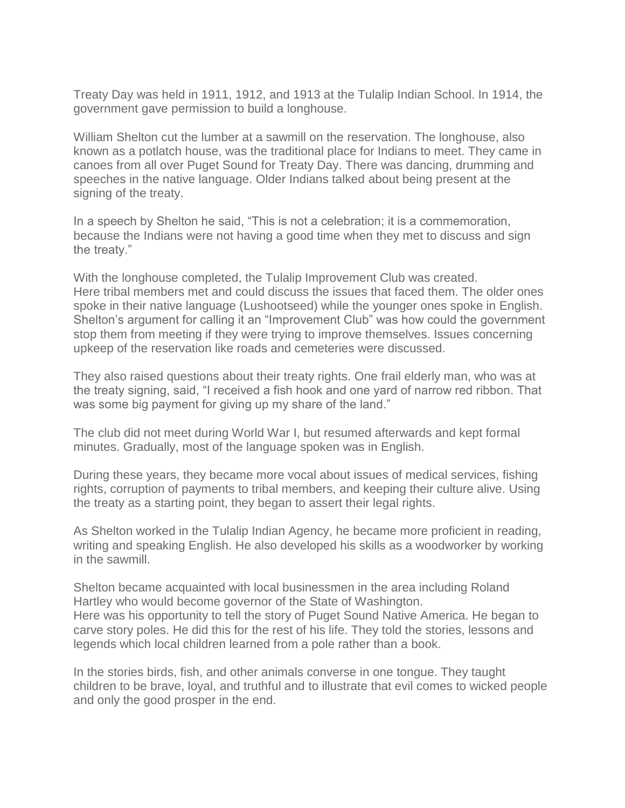Treaty Day was held in 1911, 1912, and 1913 at the Tulalip Indian School. In 1914, the government gave permission to build a longhouse.

William Shelton cut the lumber at a sawmill on the reservation. The longhouse, also known as a potlatch house, was the traditional place for Indians to meet. They came in canoes from all over Puget Sound for Treaty Day. There was dancing, drumming and speeches in the native language. Older Indians talked about being present at the signing of the treaty.

In a speech by Shelton he said, "This is not a celebration; it is a commemoration, because the Indians were not having a good time when they met to discuss and sign the treaty."

With the longhouse completed, the Tulalip Improvement Club was created. Here tribal members met and could discuss the issues that faced them. The older ones spoke in their native language (Lushootseed) while the younger ones spoke in English. Shelton's argument for calling it an "Improvement Club" was how could the government stop them from meeting if they were trying to improve themselves. Issues concerning upkeep of the reservation like roads and cemeteries were discussed.

They also raised questions about their treaty rights. One frail elderly man, who was at the treaty signing, said, "I received a fish hook and one yard of narrow red ribbon. That was some big payment for giving up my share of the land."

The club did not meet during World War I, but resumed afterwards and kept formal minutes. Gradually, most of the language spoken was in English.

During these years, they became more vocal about issues of medical services, fishing rights, corruption of payments to tribal members, and keeping their culture alive. Using the treaty as a starting point, they began to assert their legal rights.

As Shelton worked in the Tulalip Indian Agency, he became more proficient in reading, writing and speaking English. He also developed his skills as a woodworker by working in the sawmill.

Shelton became acquainted with local businessmen in the area including Roland Hartley who would become governor of the State of Washington. Here was his opportunity to tell the story of Puget Sound Native America. He began to carve story poles. He did this for the rest of his life. They told the stories, lessons and legends which local children learned from a pole rather than a book.

In the stories birds, fish, and other animals converse in one tongue. They taught children to be brave, loyal, and truthful and to illustrate that evil comes to wicked people and only the good prosper in the end.